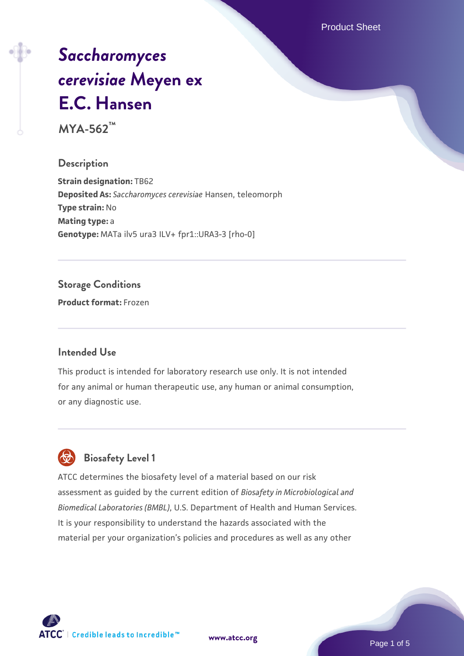Product Sheet

# *[Saccharomyces](https://www.atcc.org/products/mya-562) [cerevisiae](https://www.atcc.org/products/mya-562)* **[Meyen ex](https://www.atcc.org/products/mya-562) [E.C. Hansen](https://www.atcc.org/products/mya-562)**

**MYA-562™**

#### **Description**

**Strain designation:** TB62 **Deposited As:** *Saccharomyces cerevisiae* Hansen, teleomorph **Type strain:** No **Mating type:** a **Genotype:** MATa ilv5 ura3 ILV+ fpr1::URA3-3 [rho-0]

### **Storage Conditions**

**Product format:** Frozen

#### **Intended Use**

This product is intended for laboratory research use only. It is not intended for any animal or human therapeutic use, any human or animal consumption, or any diagnostic use.



## **Biosafety Level 1**

ATCC determines the biosafety level of a material based on our risk assessment as guided by the current edition of *Biosafety in Microbiological and Biomedical Laboratories (BMBL)*, U.S. Department of Health and Human Services. It is your responsibility to understand the hazards associated with the material per your organization's policies and procedures as well as any other

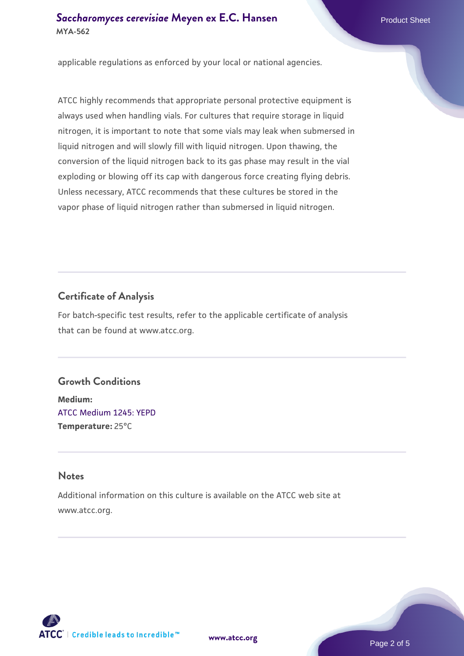applicable regulations as enforced by your local or national agencies.

ATCC highly recommends that appropriate personal protective equipment is always used when handling vials. For cultures that require storage in liquid nitrogen, it is important to note that some vials may leak when submersed in liquid nitrogen and will slowly fill with liquid nitrogen. Upon thawing, the conversion of the liquid nitrogen back to its gas phase may result in the vial exploding or blowing off its cap with dangerous force creating flying debris. Unless necessary, ATCC recommends that these cultures be stored in the vapor phase of liquid nitrogen rather than submersed in liquid nitrogen.

## **Certificate of Analysis**

For batch-specific test results, refer to the applicable certificate of analysis that can be found at www.atcc.org.

#### **Growth Conditions**

**Medium:**  [ATCC Medium 1245: YEPD](https://www.atcc.org/-/media/product-assets/documents/microbial-media-formulations/1/2/4/5/atcc-medium-1245.pdf?rev=705ca55d1b6f490a808a965d5c072196) **Temperature:** 25°C

#### **Notes**

Additional information on this culture is available on the ATCC web site at www.atcc.org.



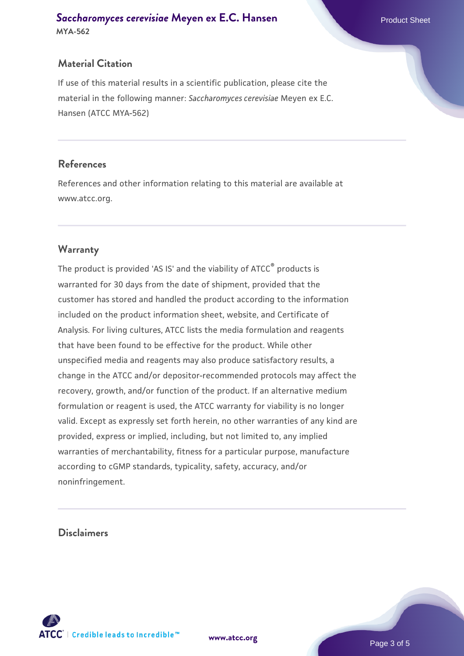#### **Material Citation**

If use of this material results in a scientific publication, please cite the material in the following manner: *Saccharomyces cerevisiae* Meyen ex E.C. Hansen (ATCC MYA-562)

#### **References**

References and other information relating to this material are available at www.atcc.org.

#### **Warranty**

The product is provided 'AS IS' and the viability of ATCC® products is warranted for 30 days from the date of shipment, provided that the customer has stored and handled the product according to the information included on the product information sheet, website, and Certificate of Analysis. For living cultures, ATCC lists the media formulation and reagents that have been found to be effective for the product. While other unspecified media and reagents may also produce satisfactory results, a change in the ATCC and/or depositor-recommended protocols may affect the recovery, growth, and/or function of the product. If an alternative medium formulation or reagent is used, the ATCC warranty for viability is no longer valid. Except as expressly set forth herein, no other warranties of any kind are provided, express or implied, including, but not limited to, any implied warranties of merchantability, fitness for a particular purpose, manufacture according to cGMP standards, typicality, safety, accuracy, and/or noninfringement.

#### **Disclaimers**



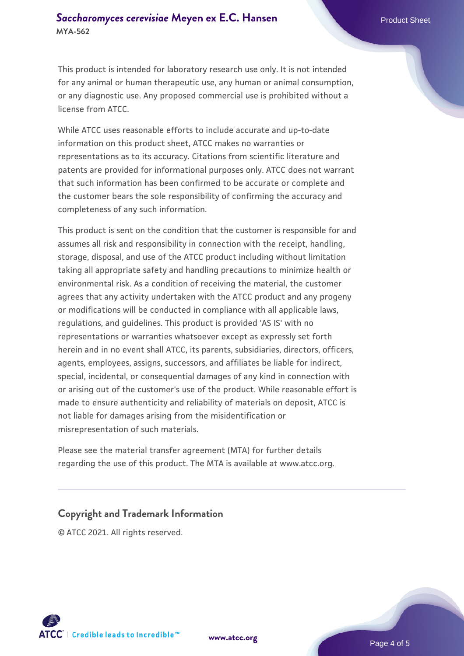This product is intended for laboratory research use only. It is not intended for any animal or human therapeutic use, any human or animal consumption, or any diagnostic use. Any proposed commercial use is prohibited without a license from ATCC.

While ATCC uses reasonable efforts to include accurate and up-to-date information on this product sheet, ATCC makes no warranties or representations as to its accuracy. Citations from scientific literature and patents are provided for informational purposes only. ATCC does not warrant that such information has been confirmed to be accurate or complete and the customer bears the sole responsibility of confirming the accuracy and completeness of any such information.

This product is sent on the condition that the customer is responsible for and assumes all risk and responsibility in connection with the receipt, handling, storage, disposal, and use of the ATCC product including without limitation taking all appropriate safety and handling precautions to minimize health or environmental risk. As a condition of receiving the material, the customer agrees that any activity undertaken with the ATCC product and any progeny or modifications will be conducted in compliance with all applicable laws, regulations, and guidelines. This product is provided 'AS IS' with no representations or warranties whatsoever except as expressly set forth herein and in no event shall ATCC, its parents, subsidiaries, directors, officers, agents, employees, assigns, successors, and affiliates be liable for indirect, special, incidental, or consequential damages of any kind in connection with or arising out of the customer's use of the product. While reasonable effort is made to ensure authenticity and reliability of materials on deposit, ATCC is not liable for damages arising from the misidentification or misrepresentation of such materials.

Please see the material transfer agreement (MTA) for further details regarding the use of this product. The MTA is available at www.atcc.org.

#### **Copyright and Trademark Information**

© ATCC 2021. All rights reserved.